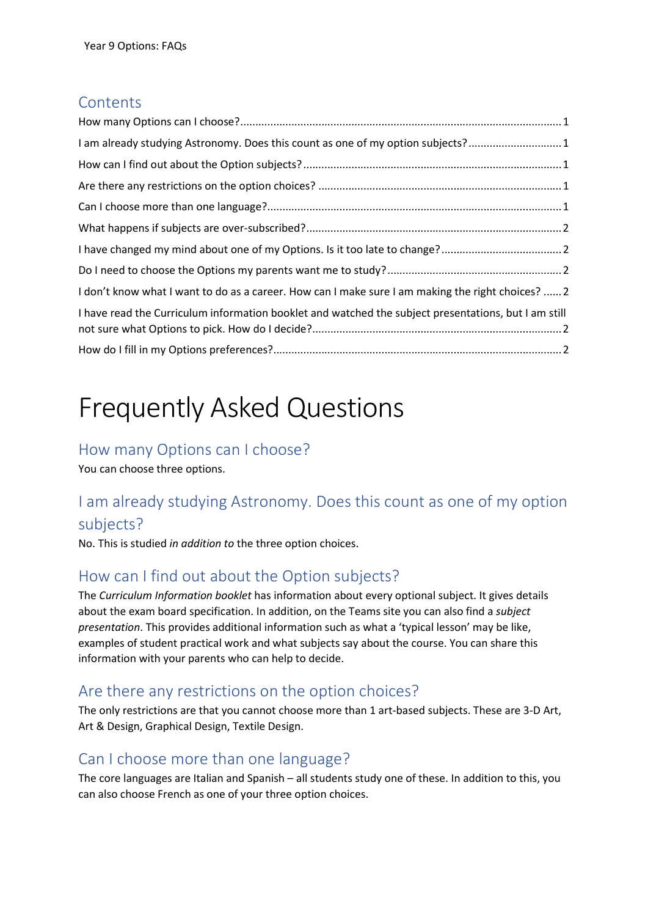#### **Contents**

| I am already studying Astronomy. Does this count as one of my option subjects?1                      |  |
|------------------------------------------------------------------------------------------------------|--|
|                                                                                                      |  |
|                                                                                                      |  |
|                                                                                                      |  |
|                                                                                                      |  |
|                                                                                                      |  |
|                                                                                                      |  |
| I don't know what I want to do as a career. How can I make sure I am making the right choices?  2    |  |
| I have read the Curriculum information booklet and watched the subject presentations, but I am still |  |
|                                                                                                      |  |

# Frequently Asked Questions

#### How many Options can I choose?

You can choose three options.

# I am already studying Astronomy. Does this count as one of my option subjects?

No. This is studied in addition to the three option choices.

### How can I find out about the Option subjects?

The Curriculum Information booklet has information about every optional subject. It gives details about the exam board specification. In addition, on the Teams site you can also find a *subject* presentation. This provides additional information such as what a 'typical lesson' may be like, examples of student practical work and what subjects say about the course. You can share this information with your parents who can help to decide.

#### Are there any restrictions on the option choices?

The only restrictions are that you cannot choose more than 1 art-based subjects. These are 3-D Art, Art & Design, Graphical Design, Textile Design.

### Can I choose more than one language?

The core languages are Italian and Spanish – all students study one of these. In addition to this, you can also choose French as one of your three option choices.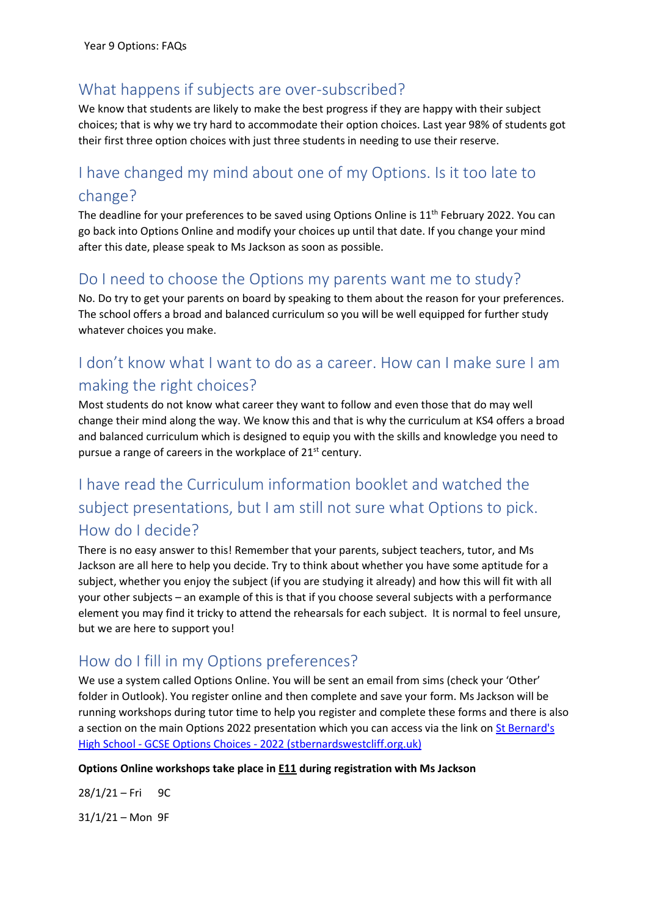#### What happens if subjects are over-subscribed?

We know that students are likely to make the best progress if they are happy with their subject choices; that is why we try hard to accommodate their option choices. Last year 98% of students got their first three option choices with just three students in needing to use their reserve.

# I have changed my mind about one of my Options. Is it too late to change?

The deadline for your preferences to be saved using Options Online is  $11<sup>th</sup>$  February 2022. You can go back into Options Online and modify your choices up until that date. If you change your mind after this date, please speak to Ms Jackson as soon as possible.

#### Do I need to choose the Options my parents want me to study?

No. Do try to get your parents on board by speaking to them about the reason for your preferences. The school offers a broad and balanced curriculum so you will be well equipped for further study whatever choices you make.

## I don't know what I want to do as a career. How can I make sure I am making the right choices?

Most students do not know what career they want to follow and even those that do may well change their mind along the way. We know this and that is why the curriculum at KS4 offers a broad and balanced curriculum which is designed to equip you with the skills and knowledge you need to pursue a range of careers in the workplace of 21st century.

# I have read the Curriculum information booklet and watched the subject presentations, but I am still not sure what Options to pick. How do I decide?

There is no easy answer to this! Remember that your parents, subject teachers, tutor, and Ms Jackson are all here to help you decide. Try to think about whether you have some aptitude for a subject, whether you enjoy the subject (if you are studying it already) and how this will fit with all your other subjects – an example of this is that if you choose several subjects with a performance element you may find it tricky to attend the rehearsals for each subject. It is normal to feel unsure, but we are here to support you!

### How do I fill in my Options preferences?

We use a system called Options Online. You will be sent an email from sims (check your 'Other' folder in Outlook). You register online and then complete and save your form. Ms Jackson will be running workshops during tutor time to help you register and complete these forms and there is also a section on the main Options 2022 presentation which you can access via the link on St Bernard's High School - GCSE Options Choices - 2022 (stbernardswestcliff.org.uk)

#### Options Online workshops take place in **E11** during registration with Ms Jackson

 $28/1/21 - Fri$  9C  $31/1/21 -$ Mon 9F